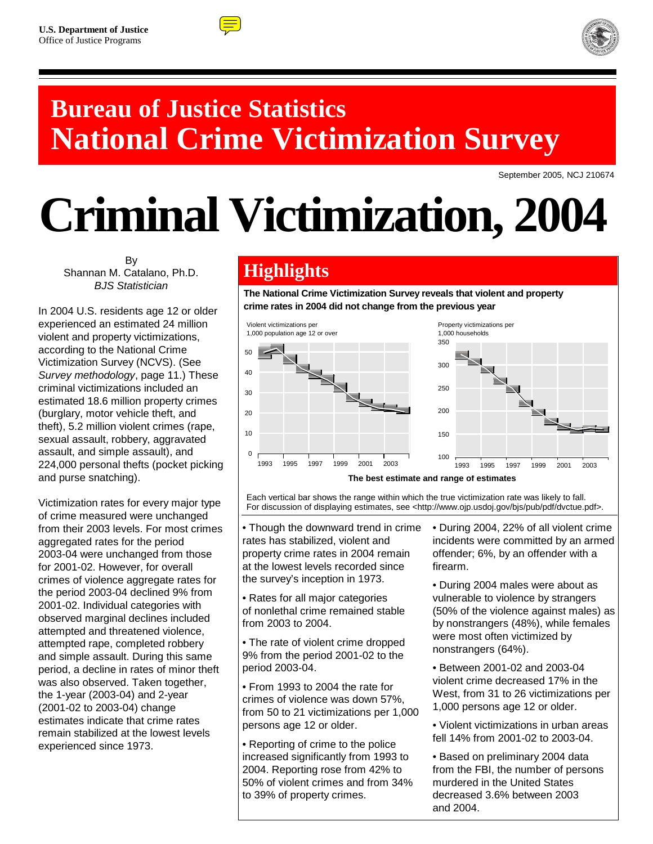



# **Bureau of Justice Statistics National Crime Victimization Survey**

September 2005, NCJ 210674

# **Criminal Victimization, 2004**

By Shannan M. Catalano, Ph.D. *BJS Statistician*

In 2004 U.S. residents age 12 or older experienced an estimated 24 million violent and property victimizations, according to the National Crime Victimization Survey (NCVS). (See *Survey methodology*, page 11.) These criminal victimizations included an estimated 18.6 million property crimes (burglary, motor vehicle theft, and theft), 5.2 million violent crimes (rape, sexual assault, robbery, aggravated assault, and simple assault), and 224,000 personal thefts (pocket picking and purse snatching).

Victimization rates for every major type of crime measured were unchanged from their 2003 levels. For most crimes aggregated rates for the period 2003-04 were unchanged from those for 2001-02. However, for overall crimes of violence aggregate rates for the period 2003-04 declined 9% from 2001-02. Individual categories with observed marginal declines included attempted and threatened violence, attempted rape, completed robbery and simple assault. During this same period, a decline in rates of minor theft was also observed. Taken together, the 1-year (2003-04) and 2-year (2001-02 to 2003-04) change estimates indicate that crime rates remain stabilized at the lowest levels experienced since 1973.

# **Highlights**

**The National Crime Victimization Survey reveals that violent and property crime rates in 2004 did not change from the previous year** 



Each vertical bar shows the range within which the true victimization rate was likely to fall. For discussion of displaying estimates, see <http://www.ojp.usdoj.gov/bjs/pub/pdf/dvctue.pdf>.

• Though the downward trend in crime rates has stabilized, violent and property crime rates in 2004 remain at the lowest levels recorded since the survey's inception in 1973.

• Rates for all major categories of nonlethal crime remained stable from 2003 to 2004.

• The rate of violent crime dropped 9% from the period 2001-02 to the period 2003-04.

• From 1993 to 2004 the rate for crimes of violence was down 57%, from 50 to 21 victimizations per 1,000 persons age 12 or older.

• Reporting of crime to the police increased significantly from 1993 to 2004. Reporting rose from 42% to 50% of violent crimes and from 34% to 39% of property crimes.

• During 2004, 22% of all violent crime incidents were committed by an armed offender; 6%, by an offender with a firearm.

• During 2004 males were about as vulnerable to violence by strangers (50% of the violence against males) as by nonstrangers (48%), while females were most often victimized by nonstrangers (64%).

• Between 2001-02 and 2003-04 violent crime decreased 17% in the West, from 31 to 26 victimizations per 1,000 persons age 12 or older.

• Violent victimizations in urban areas fell 14% from 2001-02 to 2003-04.

• Based on preliminary 2004 data from the FBI, the number of persons murdered in the United States decreased 3.6% between 2003 and 2004.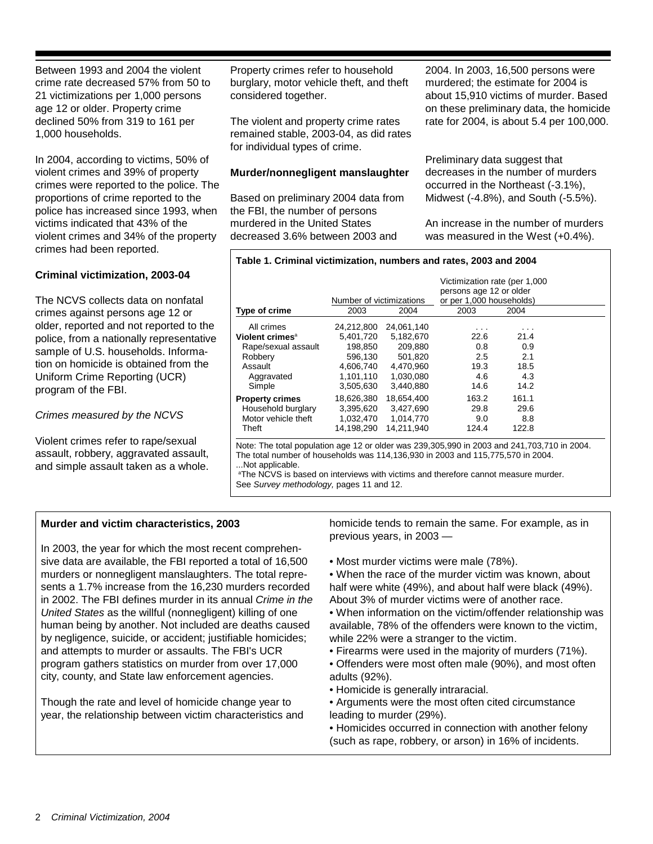Between 1993 and 2004 the violent crime rate decreased 57% from 50 to 21 victimizations per 1,000 persons age 12 or older. Property crime declined 50% from 319 to 161 per 1,000 households.

In 2004, according to victims, 50% of violent crimes and 39% of property crimes were reported to the police. The proportions of crime reported to the police has increased since 1993, when victims indicated that 43% of the violent crimes and 34% of the property crimes had been reported.

# **Criminal victimization, 2003-04**

The NCVS collects data on nonfatal crimes against persons age 12 or older, reported and not reported to the police, from a nationally representative sample of U.S. households. Information on homicide is obtained from the Uniform Crime Reporting (UCR) program of the FBI.

# *Crimes measured by the NCVS*

Violent crimes refer to rape/sexual assault, robbery, aggravated assault, and simple assault taken as a whole.

Property crimes refer to household burglary, motor vehicle theft, and theft considered together.

The violent and property crime rates remained stable, 2003-04, as did rates for individual types of crime.

# **Murder/nonnegligent manslaughter**

Based on preliminary 2004 data from the FBI, the number of persons murdered in the United States decreased 3.6% between 2003 and

2004. In 2003, 16,500 persons were murdered; the estimate for 2004 is about 15,910 victims of murder. Based on these preliminary data, the homicide rate for 2004, is about 5.4 per 100,000.

Preliminary data suggest that decreases in the number of murders occurred in the Northeast (-3.1%), Midwest (-4.8%), and South (-5.5%).

An increase in the number of murders was measured in the West (+0.4%).

## **Table 1. Criminal victimization, numbers and rates, 2003 and 2004**

|                             | Victimization rate (per 1,000 |            |                          |       |  |  |  |  |
|-----------------------------|-------------------------------|------------|--------------------------|-------|--|--|--|--|
|                             |                               |            | persons age 12 or older  |       |  |  |  |  |
|                             | Number of victimizations      |            | or per 1,000 households) |       |  |  |  |  |
| Type of crime               | 2003                          | 2004       | 2003                     | 2004  |  |  |  |  |
| All crimes                  | 24,212,800                    | 24,061,140 |                          |       |  |  |  |  |
| Violent crimes <sup>a</sup> | 5,401,720                     | 5,182,670  | 22.6                     | 21.4  |  |  |  |  |
| Rape/sexual assault         | 198.850                       | 209.880    | 0.8                      | 0.9   |  |  |  |  |
| Robbery                     | 596,130                       | 501,820    | 2.5                      | 2.1   |  |  |  |  |
| Assault                     | 4.606.740                     | 4.470.960  | 19.3                     | 18.5  |  |  |  |  |
| Aggravated                  | 1,101,110                     | 1,030,080  | 4.6                      | 4.3   |  |  |  |  |
| Simple                      | 3,505,630                     | 3.440.880  | 14.6                     | 14.2  |  |  |  |  |
| <b>Property crimes</b>      | 18.626.380                    | 18.654.400 | 163.2                    | 161.1 |  |  |  |  |
| Household burglary          | 3,395,620                     | 3,427,690  | 29.8                     | 29.6  |  |  |  |  |
| Motor vehicle theft         | 1,032,470                     | 1,014,770  | 9.0                      | 8.8   |  |  |  |  |
| Theft                       | 14.198.290                    | 14.211.940 | 124.4                    | 122.8 |  |  |  |  |
|                             |                               |            |                          |       |  |  |  |  |

Note: The total population age 12 or older was 239,305,990 in 2003 and 241,703,710 in 2004. The total number of households was 114,136,930 in 2003 and 115,775,570 in 2004. ...Not applicable.

a The NCVS is based on interviews with victims and therefore cannot measure murder. See *Survey methodology,* pages 11 and 12.

# **Murder and victim characteristics, 2003**

In 2003, the year for which the most recent comprehensive data are available, the FBI reported a total of 16,500 murders or nonnegligent manslaughters. The total represents a 1.7% increase from the 16,230 murders recorded in 2002. The FBI defines murder in its annual *Crime in the United States* as the willful (nonnegligent) killing of one human being by another. Not included are deaths caused by negligence, suicide, or accident; justifiable homicides; and attempts to murder or assaults. The FBI's UCR program gathers statistics on murder from over 17,000 city, county, and State law enforcement agencies.

Though the rate and level of homicide change year to year, the relationship between victim characteristics and homicide tends to remain the same. For example, as in previous years, in 2003 —

• Most murder victims were male (78%).

• When the race of the murder victim was known, about half were white (49%), and about half were black (49%). About 3% of murder victims were of another race.

- When information on the victim/offender relationship was available, 78% of the offenders were known to the victim, while 22% were a stranger to the victim.
- Firearms were used in the majority of murders (71%).
- Offenders were most often male (90%), and most often adults (92%).
- Homicide is generally intraracial.
- Arguments were the most often cited circumstance leading to murder (29%).
- Homicides occurred in connection with another felony (such as rape, robbery, or arson) in 16% of incidents.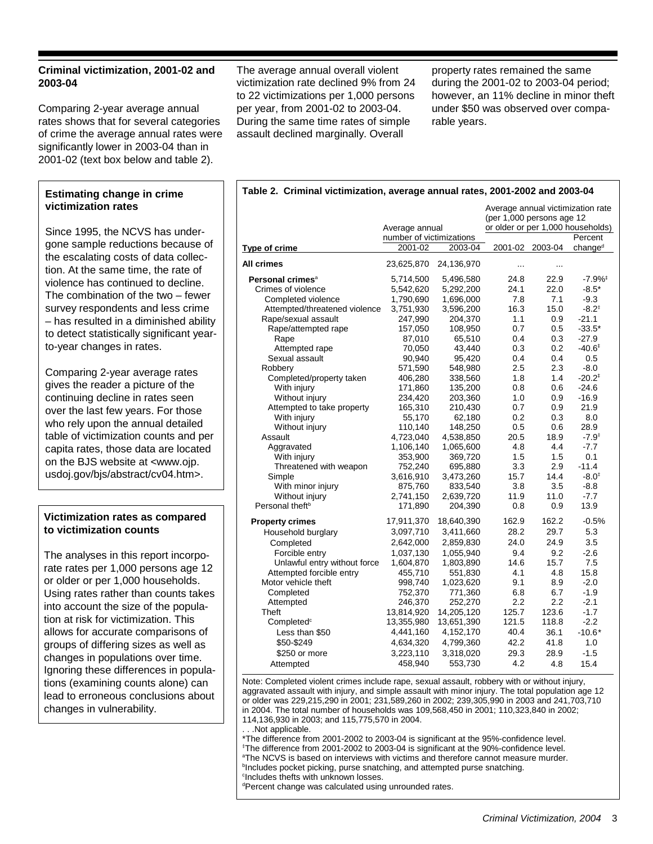# **Criminal victimization, 2001-02 and 2003-04**

Comparing 2-year average annual rates shows that for several categories of crime the average annual rates were significantly lower in 2003-04 than in 2001-02 (text box below and table 2).

# **Estimating change in crime victimization rates**

Since 1995, the NCVS has undergone sample reductions because of the escalating costs of data collection. At the same time, the rate of violence has continued to decline. The combination of the two – fewer survey respondents and less crime – has resulted in a diminished ability to detect statistically significant yearto-year changes in rates.

Comparing 2-year average rates gives the reader a picture of the continuing decline in rates seen over the last few years. For those who rely upon the annual detailed table of victimization counts and per capita rates, those data are located on the BJS website at <www.ojp. usdoj.gov/bjs/abstract/cv04.htm>.

# **Victimization rates as compared to victimization counts**

The analyses in this report incorporate rates per 1,000 persons age 12 or older or per 1,000 households. Using rates rather than counts takes into account the size of the population at risk for victimization. This allows for accurate comparisons of groups of differing sizes as well as changes in populations over time. Ignoring these differences in populations (examining counts alone) can lead to erroneous conclusions about changes in vulnerability.

The average annual overall violent victimization rate declined 9% from 24 to 22 victimizations per 1,000 persons per year, from 2001-02 to 2003-04. During the same time rates of simple assault declined marginally. Overall

property rates remained the same during the 2001-02 to 2003-04 period; however, an 11% decline in minor theft under \$50 was observed over comparable years.

## **Table 2. Criminal victimization, average annual rates, 2001-2002 and 2003-04**

|                               | Average annual victimization rate<br>(per 1,000 persons age 12<br>or older or per 1,000 households) |            |          |                 |                      |
|-------------------------------|-----------------------------------------------------------------------------------------------------|------------|----------|-----------------|----------------------|
|                               | Average annual                                                                                      |            |          |                 | Percent              |
| Type of crime                 | number of victimizations<br>2001-02                                                                 | 2003-04    |          | 2001-02 2003-04 | change <sup>d</sup>  |
|                               |                                                                                                     |            |          |                 |                      |
| All crimes                    | 23,625,870                                                                                          | 24,136,970 | $\cdots$ |                 |                      |
| Personal crimes <sup>a</sup>  | 5,714,500                                                                                           | 5,496,580  | 24.8     | 22.9            | $-7.9%$ <sup>‡</sup> |
| Crimes of violence            | 5,542,620                                                                                           | 5,292,200  | 24.1     | 22.0            | $-8.5*$              |
| Completed violence            | 1,790,690                                                                                           | 1,696,000  | 7.8      | 7.1             | $-9.3$               |
| Attempted/threatened violence | 3,751,930                                                                                           | 3,596,200  | 16.3     | 15.0            | $-8.2^{+}$           |
| Rape/sexual assault           | 247,990                                                                                             | 204,370    | 1.1      | 0.9             | $-21.1$              |
| Rape/attempted rape           | 157,050                                                                                             | 108,950    | 0.7      | 0.5             | $-33.5*$             |
| Rape                          | 87,010                                                                                              | 65,510     | 0.4      | 0.3             | $-27.9$              |
| Attempted rape                | 70,050                                                                                              | 43,440     | 0.3      | 0.2             | $-40.6^{\circ}$      |
| Sexual assault                | 90,940                                                                                              | 95,420     | 0.4      | 0.4             | 0.5                  |
| Robbery                       | 571,590                                                                                             | 548,980    | 2.5      | 2.3             | $-8.0$               |
| Completed/property taken      | 406,280                                                                                             | 338,560    | 1.8      | 1.4             | $-20.2$ <sup>+</sup> |
| With injury                   | 171,860                                                                                             | 135,200    | 0.8      | 0.6             | $-24.6$              |
| Without injury                | 234,420                                                                                             | 203,360    | 1.0      | 0.9             | $-16.9$              |
| Attempted to take property    | 165,310                                                                                             | 210,430    | 0.7      | 0.9             | 21.9                 |
| With injury                   | 55,170                                                                                              | 62,180     | 0.2      | 0.3             | 8.0                  |
| Without injury                | 110,140                                                                                             | 148,250    | 0.5      | 0.6             | 28.9                 |
| Assault                       | 4,723,040                                                                                           | 4,538,850  | 20.5     | 18.9            | $-7.9^{\ddagger}$    |
| Aggravated                    | 1,106,140                                                                                           | 1,065,600  | 4.8      | 4.4             | $-7.7$               |
| With injury                   | 353,900                                                                                             | 369,720    | 1.5      | 1.5             | 0.1                  |
| Threatened with weapon        | 752,240                                                                                             | 695,880    | 3.3      | 2.9             | $-11.4$              |
| Simple                        | 3,616,910                                                                                           | 3,473,260  | 15.7     | 14.4            | $-8.0^{+}$           |
| With minor injury             | 875,760                                                                                             | 833,540    | 3.8      | 3.5             | $-8.8$               |
| Without injury                | 2,741,150                                                                                           | 2,639,720  | 11.9     | 11.0            | $-7.7$               |
| Personal theft <sup>b</sup>   | 171,890                                                                                             | 204,390    | 0.8      | 0.9             | 13.9                 |
| <b>Property crimes</b>        | 17,911,370                                                                                          | 18,640,390 | 162.9    | 162.2           | $-0.5%$              |
| Household burglary            | 3,097,710                                                                                           | 3,411,660  | 28.2     | 29.7            | 5.3                  |
| Completed                     | 2,642,000                                                                                           | 2,859,830  | 24.0     | 24.9            | 3.5                  |
| Forcible entry                | 1,037,130                                                                                           | 1,055,940  | 9.4      | 9.2             | $-2.6$               |
| Unlawful entry without force  | 1,604,870                                                                                           | 1,803,890  | 14.6     | 15.7            | 7.5                  |
| Attempted forcible entry      | 455,710                                                                                             | 551,830    | 4.1      | 4.8             | 15.8                 |
| Motor vehicle theft           | 998,740                                                                                             | 1,023,620  | 9.1      | 8.9             | $-2.0$               |
| Completed                     | 752,370                                                                                             | 771,360    | 6.8      | 6.7             | $-1.9$               |
| Attempted                     | 246,370                                                                                             | 252,270    | 2.2      | 2.2             | $-2.1$               |
| Theft                         | 13,814,920                                                                                          | 14,205,120 | 125.7    | 123.6           | $-1.7$               |
| Completed <sup>c</sup>        | 13,355,980                                                                                          | 13,651,390 | 121.5    | 118.8           | $-2.2$               |
| Less than \$50                | 4,441,160                                                                                           | 4,152,170  | 40.4     | 36.1            | $-10.6*$             |
| \$50-\$249                    | 4,634,320                                                                                           | 4,799,360  | 42.2     | 41.8            | 1.0                  |
| \$250 or more                 | 3,223,110                                                                                           | 3,318,020  | 29.3     | 28.9            | $-1.5$               |
| Attempted                     | 458,940                                                                                             | 553,730    | 4.2      | 4.8             | 15.4                 |

Note: Completed violent crimes include rape, sexual assault, robbery with or without injury, aggravated assault with injury, and simple assault with minor injury. The total population age 12 or older was 229,215,290 in 2001; 231,589,260 in 2002; 239,305,990 in 2003 and 241,703,710 in 2004. The total number of households was 109,568,450 in 2001; 110,323,840 in 2002; 114,136,930 in 2003; and 115,775,570 in 2004.

. . .Not applicable.

\*The difference from 2001-2002 to 2003-04 is significant at the 95%-confidence level.

‡ The difference from 2001-2002 to 2003-04 is significant at the 90%-confidence level.

a The NCVS is based on interviews with victims and therefore cannot measure murder.

<sup>b</sup>Includes pocket picking, purse snatching, and attempted purse snatching.

c Includes thefts with unknown losses.

d Percent change was calculated using unrounded rates.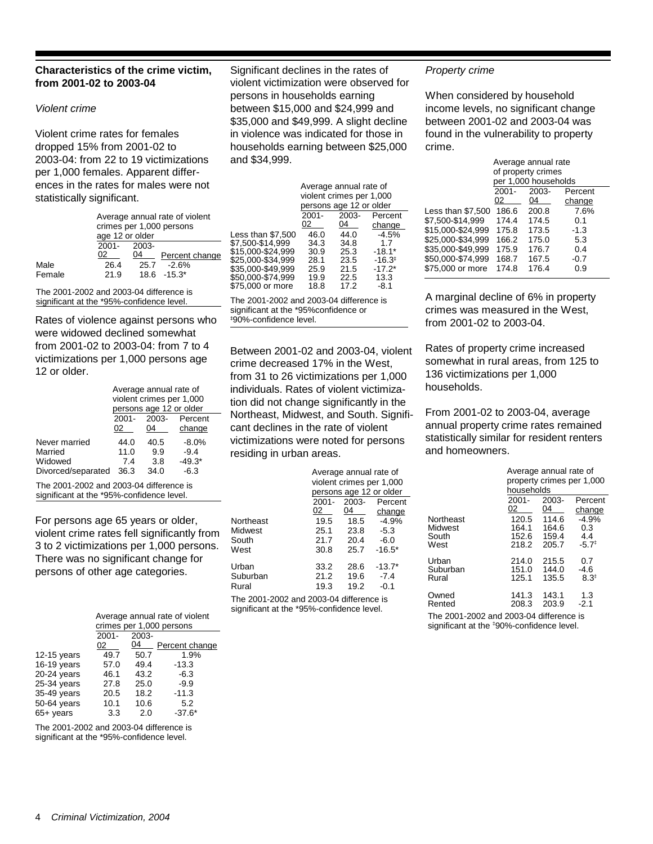# **Characteristics of the crime victim, from 2001-02 to 2003-04**

## *Violent crime*

Violent crime rates for females dropped 15% from 2001-02 to 2003-04: from 22 to 19 victimizations per 1,000 females. Apparent differences in the rates for males were not statistically significant.

|                 | Average annual rate of violent<br>crimes per 1,000 persons |    |                 |  |  |  |  |  |  |
|-----------------|------------------------------------------------------------|----|-----------------|--|--|--|--|--|--|
| age 12 or older |                                                            |    |                 |  |  |  |  |  |  |
|                 | 2001- 2003-                                                |    |                 |  |  |  |  |  |  |
|                 | 02                                                         | 04 | Percent change  |  |  |  |  |  |  |
| Male            | 26.4                                                       |    | $25.7 - 2.6\%$  |  |  |  |  |  |  |
| Female          | 21.9                                                       |    | $18.6 - 15.3^*$ |  |  |  |  |  |  |

The 2001-2002 and 2003-04 difference is significant at the \*95%-confidence level.

Rates of violence against persons who were widowed declined somewhat from 2001-02 to 2003-04: from 7 to 4 victimizations per 1,000 persons age 12 or older.

|                    | Average annual rate of |                          |          |  |  |  |  |  |
|--------------------|------------------------|--------------------------|----------|--|--|--|--|--|
|                    |                        | violent crimes per 1,000 |          |  |  |  |  |  |
|                    |                        | persons age 12 or older  |          |  |  |  |  |  |
|                    | $2001 -$               | 2003-                    | Percent  |  |  |  |  |  |
|                    | 02                     | 04                       | change   |  |  |  |  |  |
| Never married      | 44.0                   | 40.5                     | $-8.0%$  |  |  |  |  |  |
| Married            | 11.0                   | 9.9                      | $-9.4$   |  |  |  |  |  |
| Widowed            | 7.4                    | 3.8                      | $-49.3*$ |  |  |  |  |  |
| Divorced/separated | 36.3                   | 34.0                     | $-6.3$   |  |  |  |  |  |

The 2001-2002 and 2003-04 difference is significant at the \*95%-confidence level.

For persons age 65 years or older, violent crime rates fell significantly from 3 to 2 victimizations per 1,000 persons. There was no significant change for persons of other age categories.

|               | Average annual rate of violent<br>crimes per 1,000 persons |       |                |  |  |  |  |  |  |  |
|---------------|------------------------------------------------------------|-------|----------------|--|--|--|--|--|--|--|
|               | $2001 -$                                                   | 2003- |                |  |  |  |  |  |  |  |
|               | 02                                                         | 04    | Percent change |  |  |  |  |  |  |  |
| 12-15 years   | 49.7                                                       | 50.7  | 1.9%           |  |  |  |  |  |  |  |
| $16-19$ years | 57.0                                                       | 49.4  | $-13.3$        |  |  |  |  |  |  |  |
| $20-24$ years | 46.1                                                       | 43.2  | $-6.3$         |  |  |  |  |  |  |  |
| 25-34 years   | 27.8                                                       | 25.0  | $-9.9$         |  |  |  |  |  |  |  |
| 35-49 years   | 20.5                                                       | 18.2  | $-11.3$        |  |  |  |  |  |  |  |
| 50-64 years   | 10.1                                                       | 10.6  | 5.2            |  |  |  |  |  |  |  |
| $65+$ years   | 3.3                                                        | 2.0   | $-37.6*$       |  |  |  |  |  |  |  |

The 2001-2002 and 2003-04 difference is significant at the \*95%-confidence level.

Significant declines in the rates of violent victimization were observed for persons in households earning between \$15,000 and \$24,999 and \$35,000 and \$49,999. A slight decline in violence was indicated for those in households earning between \$25,000 and \$34,999.

| Average annual rate of |       |                                                     |  |  |  |  |  |  |
|------------------------|-------|-----------------------------------------------------|--|--|--|--|--|--|
|                        |       |                                                     |  |  |  |  |  |  |
|                        |       |                                                     |  |  |  |  |  |  |
| $2001 -$               | 2003- | Percent                                             |  |  |  |  |  |  |
| 02                     | 04    | change                                              |  |  |  |  |  |  |
| 46.0                   | 44.0  | $-4.5%$                                             |  |  |  |  |  |  |
| 34.3                   | 34.8  | 1.7                                                 |  |  |  |  |  |  |
| 30.9                   | 25.3  | $-18.1*$                                            |  |  |  |  |  |  |
| 28.1                   | 23.5  | $-16.3^{\circ}$                                     |  |  |  |  |  |  |
| 25.9                   | 21.5  | $-17.2*$                                            |  |  |  |  |  |  |
| 19.9                   | 22.5  | 13.3                                                |  |  |  |  |  |  |
| 18.8                   | 17.2  | -8.1                                                |  |  |  |  |  |  |
|                        |       | violent crimes per 1,000<br>persons age 12 or older |  |  |  |  |  |  |

The 2001-2002 and 2003-04 difference is significant at the \*95%confidence or I 90%-confidence level.

Between 2001-02 and 2003-04, violent crime decreased 17% in the West, from 31 to 26 victimizations per 1,000 individuals. Rates of violent victimization did not change significantly in the Northeast, Midwest, and South. Significant declines in the rate of violent victimizations were noted for persons residing in urban areas.

|           | Average annual rate of<br>violent crimes per 1,000<br>persons age 12 or older |          |          |  |  |  |  |  |
|-----------|-------------------------------------------------------------------------------|----------|----------|--|--|--|--|--|
|           | $2001 -$                                                                      | $2003 -$ | Percent  |  |  |  |  |  |
|           | 02                                                                            | 04       | change   |  |  |  |  |  |
| Northeast | 19.5                                                                          | 18.5     | $-4.9%$  |  |  |  |  |  |
| Midwest   | 25.1                                                                          | 23.8     | $-5.3$   |  |  |  |  |  |
| South     | 21.7                                                                          | 20.4     | $-6.0$   |  |  |  |  |  |
| West      | 30.8                                                                          | 25.7     | $-16.5*$ |  |  |  |  |  |
| Urban     | 33.2                                                                          | 28.6     | $-13.7*$ |  |  |  |  |  |
| Suburban  | 21.2                                                                          | 19.6     | $-7.4$   |  |  |  |  |  |
| Rural     | 19.3                                                                          | 19.2     | $-0.1$   |  |  |  |  |  |
|           |                                                                               |          |          |  |  |  |  |  |

The 2001-2002 and 2003-04 difference is significant at the \*95%-confidence level.

## *Property crime*

When considered by household income levels, no significant change between 2001-02 and 2003-04 was found in the vulnerability to property crime.

|                   | Average annual rate          |                      |        |  |  |  |  |  |  |
|-------------------|------------------------------|----------------------|--------|--|--|--|--|--|--|
|                   |                              | of property crimes   |        |  |  |  |  |  |  |
|                   |                              | per 1,000 households |        |  |  |  |  |  |  |
|                   | $2001 -$<br>2003-<br>Percent |                      |        |  |  |  |  |  |  |
|                   | 02                           | 04                   | change |  |  |  |  |  |  |
| Less than \$7,500 | 186.6                        | 200.8                | 7.6%   |  |  |  |  |  |  |
| \$7.500-\$14.999  | 174.4                        | 174.5                | 0.1    |  |  |  |  |  |  |
| \$15.000-\$24.999 | 175.8                        | 173.5                | $-1.3$ |  |  |  |  |  |  |
| \$25.000-\$34.999 | 166.2                        | 175.0                | 5.3    |  |  |  |  |  |  |
| \$35.000-\$49.999 | 175.9                        | 176.7                | 0.4    |  |  |  |  |  |  |
| \$50.000-\$74.999 | 168.7                        | 167.5                | $-0.7$ |  |  |  |  |  |  |
| \$75.000 or more  | 174.8                        | 176.4                | 0.9    |  |  |  |  |  |  |
|                   |                              |                      |        |  |  |  |  |  |  |

A marginal decline of 6% in property crimes was measured in the West, from 2001-02 to 2003-04.

Rates of property crime increased somewhat in rural areas, from 125 to 136 victimizations per 1,000 households.

From 2001-02 to 2003-04, average annual property crime rates remained statistically similar for resident renters and homeowners.

|                            | Average annual rate of<br>property crimes per 1,000<br>households |                         |                          |  |  |  |  |  |
|----------------------------|-------------------------------------------------------------------|-------------------------|--------------------------|--|--|--|--|--|
|                            | $2001 -$                                                          | $2003 -$                | Percent                  |  |  |  |  |  |
|                            | 02                                                                | 04                      | change                   |  |  |  |  |  |
| Northeast                  | 120.5                                                             | 114.6                   | $-4.9%$                  |  |  |  |  |  |
| Midwest                    | 164.1                                                             | 164.6                   | 0.3                      |  |  |  |  |  |
| South                      | 152.6                                                             | 159.4                   | 4.4                      |  |  |  |  |  |
| West                       | 218.2                                                             | 205.7                   | $-5.7^{\ddagger}$        |  |  |  |  |  |
| Urban<br>Suburban<br>Rural | 214.0<br>151.0<br>125.1                                           | 215.5<br>144.0<br>135.5 | 0.7<br>-4.6<br>$8.3^{+}$ |  |  |  |  |  |
| Owned<br>Rented            | 141.3<br>208.3                                                    | 143.1<br>203.9          | 1.3<br>$-2.1$            |  |  |  |  |  |

The 2001-2002 and 2003-04 difference is significant at the ‡ 90%-confidence level.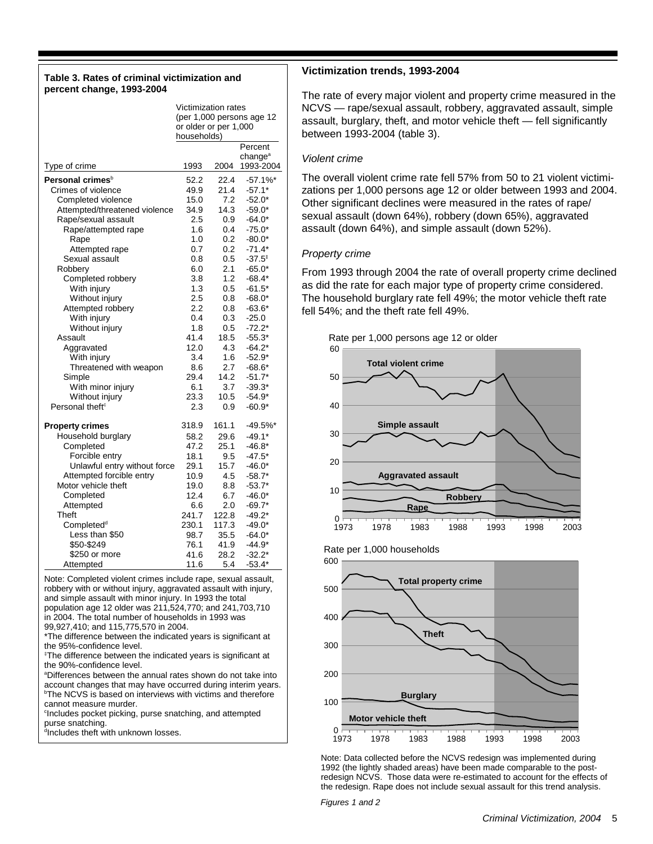#### **Table 3. Rates of criminal victimization and percent change, 1993-2004**

|                               | Victimization rates       |       |                      |  |  |  |
|-------------------------------|---------------------------|-------|----------------------|--|--|--|
|                               | (per 1,000 persons age 12 |       |                      |  |  |  |
|                               | or older or per 1,000     |       |                      |  |  |  |
|                               | households)               |       |                      |  |  |  |
|                               |                           |       | Percent              |  |  |  |
|                               |                           |       | change <sup>a</sup>  |  |  |  |
| Type of crime                 | 1993                      | 2004  | 1993-2004            |  |  |  |
| Personal crimes <sup>b</sup>  | 52.2                      | 22.4  | $-57.1%$             |  |  |  |
| Crimes of violence            | 49.9                      | 21.4  | $-57.1*$             |  |  |  |
| Completed violence            | 15.0                      | 7.2   | $-52.0*$             |  |  |  |
| Attempted/threatened violence | 34.9                      | 14.3  | $-59.0*$             |  |  |  |
| Rape/sexual assault           | 2.5                       | 0.9   | $-64.0*$             |  |  |  |
| Rape/attempted rape           | 1.6                       | 0.4   | $-75.0*$             |  |  |  |
| Rape                          | 1.0                       | 0.2   | $-80.0*$             |  |  |  |
| Attempted rape                | 0.7                       | 0.2   | $-71.4*$             |  |  |  |
| Sexual assault                | 0.8                       | 0.5   | $-37.5^{\circ}$      |  |  |  |
| Robbery                       | 6.0                       | 2.1   | $-65.0*$             |  |  |  |
| Completed robbery             | 3.8                       | 1.2   | $-68.4*$             |  |  |  |
| With injury                   | 1.3                       | 0.5   | $-61.5*$             |  |  |  |
| Without injury                | 2.5                       | 0.8   | -68.0*               |  |  |  |
| Attempted robbery             | 2.2                       | 0.8   | $-63.6*$             |  |  |  |
| With injury                   | 0.4                       | 0.3   | $-25.0$              |  |  |  |
| Without injury                | 1.8                       | 0.5   | $-72.2*$             |  |  |  |
| Assault                       | 41.4                      | 18.5  | $-55.3*$             |  |  |  |
|                               | 12.0                      | 4.3   |                      |  |  |  |
| Aggravated                    | 3.4                       | 1.6   | $-64.2*$<br>$-52.9*$ |  |  |  |
| With injury                   |                           | 2.7   |                      |  |  |  |
| Threatened with weapon        | 8.6                       |       | $-68.6*$             |  |  |  |
| Simple                        | 29.4                      | 14.2  | $-51.7*$             |  |  |  |
| With minor injury             | 6.1                       | 3.7   | $-39.3*$             |  |  |  |
| Without injury                | 23.3                      | 10.5  | $-54.9*$             |  |  |  |
| Personal theft <sup>c</sup>   | 2.3                       | 0.9   | $-60.9*$             |  |  |  |
| <b>Property crimes</b>        | 318.9                     | 161.1 | $-49.5%$ *           |  |  |  |
| Household burglary            | 58.2                      | 29.6  | $-49.1*$             |  |  |  |
| Completed                     | 47.2                      | 25.1  | $-46.8*$             |  |  |  |
| Forcible entry                | 18.1                      | 9.5   | $-47.5*$             |  |  |  |
| Unlawful entry without force  | 29.1                      | 15.7  | $-46.0*$             |  |  |  |
| Attempted forcible entry      | 10.9                      | 4.5   | $-58.7*$             |  |  |  |
| Motor vehicle theft           | 19.0                      | 8.8   | $-53.7*$             |  |  |  |
| Completed                     | 12.4                      | 6.7   | $-46.0*$             |  |  |  |
| Attempted                     | 6.6                       | 2.0   | $-69.7*$             |  |  |  |
| <b>Theft</b>                  | 241.7                     | 122.8 | $-49.2*$             |  |  |  |
| Completed <sup>d</sup>        | 230.1                     | 117.3 | $-49.0*$             |  |  |  |
| Less than \$50                | 98.7                      | 35.5  | $-64.0*$             |  |  |  |
| \$50-\$249                    | 76.1                      | 41.9  | $-44.9*$             |  |  |  |
| \$250 or more                 | 41.6                      | 28.2  | $-32.2*$             |  |  |  |
| Attempted                     | 11.6                      | 5.4   | $-53.4*$             |  |  |  |
|                               |                           |       |                      |  |  |  |

Note: Completed violent crimes include rape, sexual assault, robbery with or without injury, aggravated assault with injury, and simple assault with minor injury. In 1993 the total population age 12 older was 211,524,770; and 241,703,710 in 2004. The total number of households in 1993 was 99,927,410; and 115,775,570 in 2004.

\*The difference between the indicated years is significant at the 95%-confidence level.

‡ The difference between the indicated years is significant at the 90%-confidence level.

<sup>a</sup>Differences between the annual rates shown do not take into account changes that may have occurred during interim years. **<sup>b</sup>The NCVS** is based on interviews with victims and therefore cannot measure murder.

c Includes pocket picking, purse snatching, and attempted purse snatching.

dIncludes theft with unknown losses.

# **Victimization trends, 1993-2004**

The rate of every major violent and property crime measured in the NCVS — rape/sexual assault, robbery, aggravated assault, simple assault, burglary, theft, and motor vehicle theft — fell significantly between 1993-2004 (table 3).

# *Violent crime*

The overall violent crime rate fell 57% from 50 to 21 violent victimizations per 1,000 persons age 12 or older between 1993 and 2004. Other significant declines were measured in the rates of rape/ sexual assault (down 64%), robbery (down 65%), aggravated assault (down 64%), and simple assault (down 52%).

#### *Property crime*

From 1993 through 2004 the rate of overall property crime declined as did the rate for each major type of property crime considered. The household burglary rate fell 49%; the motor vehicle theft rate fell 54%; and the theft rate fell 49%.

Rate per 1,000 persons age 12 or older



Rate per 1,000 households



Note: Data collected before the NCVS redesign was implemented during 1992 (the lightly shaded areas) have been made comparable to the postredesign NCVS. Those data were re-estimated to account for the effects of the redesign. Rape does not include sexual assault for this trend analysis.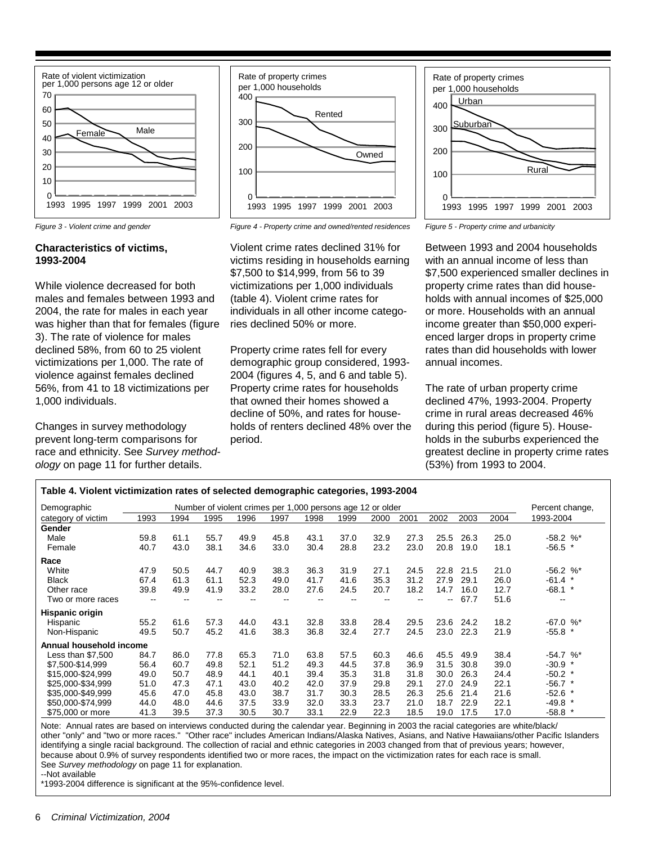



# **Characteristics of victims, 1993-2004**

While violence decreased for both males and females between 1993 and 2004, the rate for males in each year was higher than that for females (figure 3). The rate of violence for males declined 58%, from 60 to 25 violent victimizations per 1,000. The rate of violence against females declined 56%, from 41 to 18 victimizations per 1,000 individuals.

Changes in survey methodology prevent long-term comparisons for race and ethnicity. See *Survey methodology* on page 11 for further details.

*Figure 3 - Violent crime and gender Figure 4 - Property crime and owned/rented residences Figure 5 - Property crime and urbanicity*

Violent crime rates declined 31% for victims residing in households earning \$7,500 to \$14,999, from 56 to 39 victimizations per 1,000 individuals (table 4). Violent crime rates for individuals in all other income categories declined 50% or more.

Property crime rates fell for every demographic group considered, 1993- 2004 (figures 4, 5, and 6 and table 5). Property crime rates for households that owned their homes showed a decline of 50%, and rates for households of renters declined 48% over the period.





Between 1993 and 2004 households with an annual income of less than \$7,500 experienced smaller declines in property crime rates than did households with annual incomes of \$25,000 or more. Households with an annual income greater than \$50,000 experienced larger drops in property crime rates than did households with lower annual incomes.

The rate of urban property crime declined 47%, 1993-2004. Property crime in rural areas decreased 46% during this period (figure 5). Households in the suburbs experienced the greatest decline in property crime rates (53%) from 1993 to 2004.

| Table 4. Violent victimization rates of selected demographic categories, 1993-2004 |                                                            |      |      |       |      |      |      |      |      |      |      |      |                 |
|------------------------------------------------------------------------------------|------------------------------------------------------------|------|------|-------|------|------|------|------|------|------|------|------|-----------------|
| Demographic                                                                        | Number of violent crimes per 1,000 persons age 12 or older |      |      |       |      |      |      |      |      |      |      |      | Percent change, |
| category of victim                                                                 | 1993                                                       | 1994 | 1995 | 1996  | 1997 | 1998 | 1999 | 2000 | 2001 | 2002 | 2003 | 2004 | 1993-2004       |
| Gender                                                                             |                                                            |      |      |       |      |      |      |      |      |      |      |      |                 |
| Male                                                                               | 59.8                                                       | 61.1 | 55.7 | 49.9  | 45.8 | 43.1 | 37.0 | 32.9 | 27.3 | 25.5 | 26.3 | 25.0 | $-58.2$ %*      |
| Female                                                                             | 40.7                                                       | 43.0 | 38.1 | 34.6  | 33.0 | 30.4 | 28.8 | 23.2 | 23.0 | 20.8 | 19.0 | 18.1 | $-56.5$         |
| Race                                                                               |                                                            |      |      |       |      |      |      |      |      |      |      |      |                 |
| White                                                                              | 47.9                                                       | 50.5 | 44.7 | 40.9  | 38.3 | 36.3 | 31.9 | 27.1 | 24.5 | 22.8 | 21.5 | 21.0 | $-56.2$ %*      |
| <b>Black</b>                                                                       | 67.4                                                       | 61.3 | 61.1 | 52.3  | 49.0 | 41.7 | 41.6 | 35.3 | 31.2 | 27.9 | 29.1 | 26.0 | $-61.4$ *       |
| Other race                                                                         | 39.8                                                       | 49.9 | 41.9 | 33.2  | 28.0 | 27.6 | 24.5 | 20.7 | 18.2 | 14.7 | 16.0 | 12.7 | $-68.1$ *       |
| Two or more races                                                                  | $- -$                                                      | --   |      | $- -$ | --   |      |      | --   | --   | --   | 67.7 | 51.6 | $\sim$ $\sim$   |
| Hispanic origin                                                                    |                                                            |      |      |       |      |      |      |      |      |      |      |      |                 |
| Hispanic                                                                           | 55.2                                                       | 61.6 | 57.3 | 44.0  | 43.1 | 32.8 | 33.8 | 28.4 | 29.5 | 23.6 | 24.2 | 18.2 | $-67.0$ %*      |
| Non-Hispanic                                                                       | 49.5                                                       | 50.7 | 45.2 | 41.6  | 38.3 | 36.8 | 32.4 | 27.7 | 24.5 | 23.0 | 22.3 | 21.9 | $-55.8$         |
| Annual household income                                                            |                                                            |      |      |       |      |      |      |      |      |      |      |      |                 |
| Less than \$7,500                                                                  | 84.7                                                       | 86.0 | 77.8 | 65.3  | 71.0 | 63.8 | 57.5 | 60.3 | 46.6 | 45.5 | 49.9 | 38.4 | $-54.7$ %*      |
| \$7,500-\$14,999                                                                   | 56.4                                                       | 60.7 | 49.8 | 52.1  | 51.2 | 49.3 | 44.5 | 37.8 | 36.9 | 31.5 | 30.8 | 39.0 | -30.9           |
| \$15,000-\$24,999                                                                  | 49.0                                                       | 50.7 | 48.9 | 44.1  | 40.1 | 39.4 | 35.3 | 31.8 | 31.8 | 30.0 | 26.3 | 24.4 | $-50.2$ *       |
| \$25,000-\$34,999                                                                  | 51.0                                                       | 47.3 | 47.1 | 43.0  | 40.2 | 42.0 | 37.9 | 29.8 | 29.1 | 27.0 | 24.9 | 22.1 | $-56.7$ *       |
| \$35,000-\$49,999                                                                  | 45.6                                                       | 47.0 | 45.8 | 43.0  | 38.7 | 31.7 | 30.3 | 28.5 | 26.3 | 25.6 | 21.4 | 21.6 | $-52.6$ *       |
| \$50,000-\$74,999                                                                  | 44.0                                                       | 48.0 | 44.6 | 37.5  | 33.9 | 32.0 | 33.3 | 23.7 | 21.0 | 18.7 | 22.9 | 22.1 | $-49.8$ *       |
| \$75,000 or more                                                                   | 41.3                                                       | 39.5 | 37.3 | 30.5  | 30.7 | 33.1 | 22.9 | 22.3 | 18.5 | 19.0 | 17.5 | 17.0 | $-58.8$ *       |

Note: Annual rates are based on interviews conducted during the calendar year. Beginning in 2003 the racial categories are white/black/ other "only" and "two or more races." "Other race" includes American Indians/Alaska Natives, Asians, and Native Hawaiians/other Pacific Islanders identifying a single racial background. The collection of racial and ethnic categories in 2003 changed from that of previous years; however, because about 0.9% of survey respondents identified two or more races, the impact on the victimization rates for each race is small. See *Survey methodology* on page 11 for explanation.

--Not available

\*1993-2004 difference is significant at the 95%-confidence level.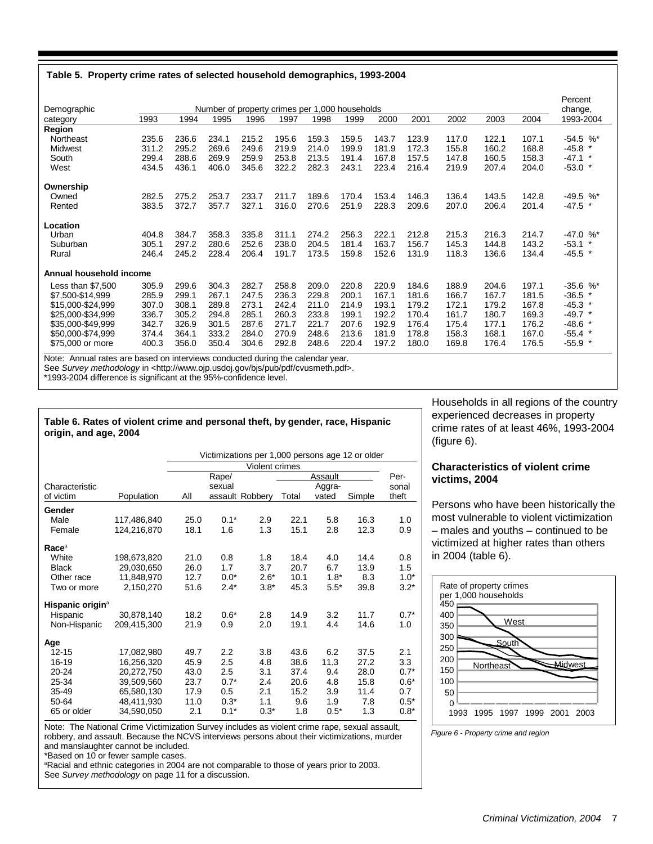#### **Table 5. Property crime rates of selected household demographics, 1993-2004**

| Demographic             |       |       |       | Number of property crimes per 1,000 households |       |       |       |       |       |       |       |       | Percent<br>change, |
|-------------------------|-------|-------|-------|------------------------------------------------|-------|-------|-------|-------|-------|-------|-------|-------|--------------------|
| category                | 1993  | 1994  | 1995  | 1996                                           | 1997  | 1998  | 1999  | 2000  | 2001  | 2002  | 2003  | 2004  | 1993-2004          |
| Region                  |       |       |       |                                                |       |       |       |       |       |       |       |       |                    |
| Northeast               | 235.6 | 236.6 | 234.1 | 215.2                                          | 195.6 | 159.3 | 159.5 | 143.7 | 123.9 | 117.0 | 122.1 | 107.1 | $-54.5$ %*         |
| Midwest                 | 311.2 | 295.2 | 269.6 | 249.6                                          | 219.9 | 214.0 | 199.9 | 181.9 | 172.3 | 155.8 | 160.2 | 168.8 | $-45.8$            |
| South                   | 299.4 | 288.6 | 269.9 | 259.9                                          | 253.8 | 213.5 | 191.4 | 167.8 | 157.5 | 147.8 | 160.5 | 158.3 | $-47.1$ *          |
| West                    | 434.5 | 436.1 | 406.0 | 345.6                                          | 322.2 | 282.3 | 243.1 | 223.4 | 216.4 | 219.9 | 207.4 | 204.0 | $-53.0*$           |
| Ownership               |       |       |       |                                                |       |       |       |       |       |       |       |       |                    |
| Owned                   | 282.5 | 275.2 | 253.7 | 233.7                                          | 211.7 | 189.6 | 170.4 | 153.4 | 146.3 | 136.4 | 143.5 | 142.8 | $-49.5$ %*         |
| Rented                  | 383.5 | 372.7 | 357.7 | 327.1                                          | 316.0 | 270.6 | 251.9 | 228.3 | 209.6 | 207.0 | 206.4 | 201.4 | -47.5              |
| Location                |       |       |       |                                                |       |       |       |       |       |       |       |       |                    |
| Urban                   | 404.8 | 384.7 | 358.3 | 335.8                                          | 311.1 | 274.2 | 256.3 | 222.1 | 212.8 | 215.3 | 216.3 | 214.7 | $-47.0$ %*         |
| Suburban                | 305.1 | 297.2 | 280.6 | 252.6                                          | 238.0 | 204.5 | 181.4 | 163.7 | 156.7 | 145.3 | 144.8 | 143.2 | $-53.1$ *          |
| Rural                   | 246.4 | 245.2 | 228.4 | 206.4                                          | 191.7 | 173.5 | 159.8 | 152.6 | 131.9 | 118.3 | 136.6 | 134.4 | $-45.5$ *          |
| Annual household income |       |       |       |                                                |       |       |       |       |       |       |       |       |                    |
| Less than \$7,500       | 305.9 | 299.6 | 304.3 | 282.7                                          | 258.8 | 209.0 | 220.8 | 220.9 | 184.6 | 188.9 | 204.6 | 197.1 | $-35.6$ %*         |
| \$7,500-\$14,999        | 285.9 | 299.1 | 267.1 | 247.5                                          | 236.3 | 229.8 | 200.1 | 167.1 | 181.6 | 166.7 | 167.7 | 181.5 | $-36.5$            |
| \$15,000-\$24,999       | 307.0 | 308.1 | 289.8 | 273.1                                          | 242.4 | 211.0 | 214.9 | 193.1 | 179.2 | 172.1 | 179.2 | 167.8 | $-45.3$ *          |
| \$25,000-\$34,999       | 336.7 | 305.2 | 294.8 | 285.1                                          | 260.3 | 233.8 | 199.1 | 192.2 | 170.4 | 161.7 | 180.7 | 169.3 | $-49.7$ *          |
| \$35,000-\$49,999       | 342.7 | 326.9 | 301.5 | 287.6                                          | 271.7 | 221.7 | 207.6 | 192.9 | 176.4 | 175.4 | 177.1 | 176.2 | $-48.6$ *          |
| \$50,000-\$74,999       | 374.4 | 364.1 | 333.2 | 284.0                                          | 270.9 | 248.6 | 213.6 | 181.9 | 178.8 | 158.3 | 168.1 | 167.0 | $-55.4$ *          |
| \$75,000 or more        | 400.3 | 356.0 | 350.4 | 304.6                                          | 292.8 | 248.6 | 220.4 | 197.2 | 180.0 | 169.8 | 176.4 | 176.5 | $-55.9$ *          |

Note: Annual rates are based on interviews conducted during the calendar year.

See Survey methodology in <http://www.ojp.usdoj.gov/bjs/pub/pdf/cvusmeth.pdf>.

\*1993-2004 difference is significant at the 95%-confidence level.

#### **Table 6. Rates of violent crime and personal theft, by gender, race, Hispanic origin, and age, 2004**

Victimizations per 1,000 persons age 12 or older

|                              |             | Violent crimes |         |                 |       |         |        |        |
|------------------------------|-------------|----------------|---------|-----------------|-------|---------|--------|--------|
|                              |             |                | Rape/   |                 |       | Assault |        | Per-   |
| Characteristic               |             |                | sexual  |                 |       | Aggra-  |        | sonal  |
| of victim                    | Population  | Αll            |         | assault Robbery | Total | vated   | Simple | theft  |
| Gender                       |             |                |         |                 |       |         |        |        |
| Male                         | 117,486,840 | 25.0           | $0.1*$  | 2.9             | 22.1  | 5.8     | 16.3   | 1.0    |
| Female                       | 124,216,870 | 18.1           | 1.6     | 1.3             | 15.1  | 2.8     | 12.3   | 0.9    |
| Race <sup>a</sup>            |             |                |         |                 |       |         |        |        |
| White                        | 198,673,820 | 21.0           | 0.8     | 1.8             | 18.4  | 4.0     | 14.4   | 0.8    |
| <b>Black</b>                 | 29,030,650  | 26.0           | 1.7     | 3.7             | 20.7  | 6.7     | 13.9   | 1.5    |
| Other race                   | 11,848,970  | 12.7           | $0.0*$  | $2.6*$          | 10.1  | $1.8*$  | 8.3    | $1.0*$ |
| Two or more                  | 2,150,270   | 51.6           | $2.4*$  | $3.8*$          | 45.3  | $5.5*$  | 39.8   | $3.2*$ |
| Hispanic origin <sup>a</sup> |             |                |         |                 |       |         |        |        |
| Hispanic                     | 30,878,140  | 18.2           | $0.6*$  | 2.8             | 14.9  | 3.2     | 11.7   | $0.7*$ |
| Non-Hispanic                 | 209,415,300 | 21.9           | 0.9     | 2.0             | 19.1  | 4.4     | 14.6   | 1.0    |
| Age                          |             |                |         |                 |       |         |        |        |
| $12 - 15$                    | 17,082,980  | 49.7           | 2.2     | 3.8             | 43.6  | 6.2     | 37.5   | 2.1    |
| 16-19                        | 16,256,320  | 45.9           | 2.5     | 4.8             | 38.6  | 11.3    | 27.2   | 3.3    |
| 20-24                        | 20,272,750  | 43.0           | $2.5\,$ | 3.1             | 37.4  | 9.4     | 28.0   | $0.7*$ |
| 25-34                        | 39,509,560  | 23.7           | $0.7*$  | 2.4             | 20.6  | 4.8     | 15.8   | $0.6*$ |
| 35-49                        | 65,580,130  | 17.9           | 0.5     | 2.1             | 15.2  | 3.9     | 11.4   | 0.7    |
| 50-64                        | 48,411,930  | 11.0           | $0.3*$  | 1.1             | 9.6   | 1.9     | 7.8    | $0.5*$ |
| 65 or older                  | 34,590,050  | 2.1            | $0.1*$  | $0.3*$          | 1.8   | $0.5*$  | 1.3    | $0.8*$ |

Note: The National Crime Victimization Survey includes as violent crime rape, sexual assault, robbery, and assault. Because the NCVS interviews persons about their victimizations, murder and manslaughter cannot be included.

\*Based on 10 or fewer sample cases.

<sup>a</sup>Racial and ethnic categories in 2004 are not comparable to those of years prior to 2003. See *Survey methodology* on page 11 for a discussion.

Households in all regions of the country experienced decreases in property crime rates of at least 46%, 1993-2004 (figure 6).

# **Characteristics of violent crime victims, 2004**

Persons who have been historically the most vulnerable to violent victimization – males and youths – continued to be victimized at higher rates than others in 2004 (table 6).



*Figure 6 - Property crime and region*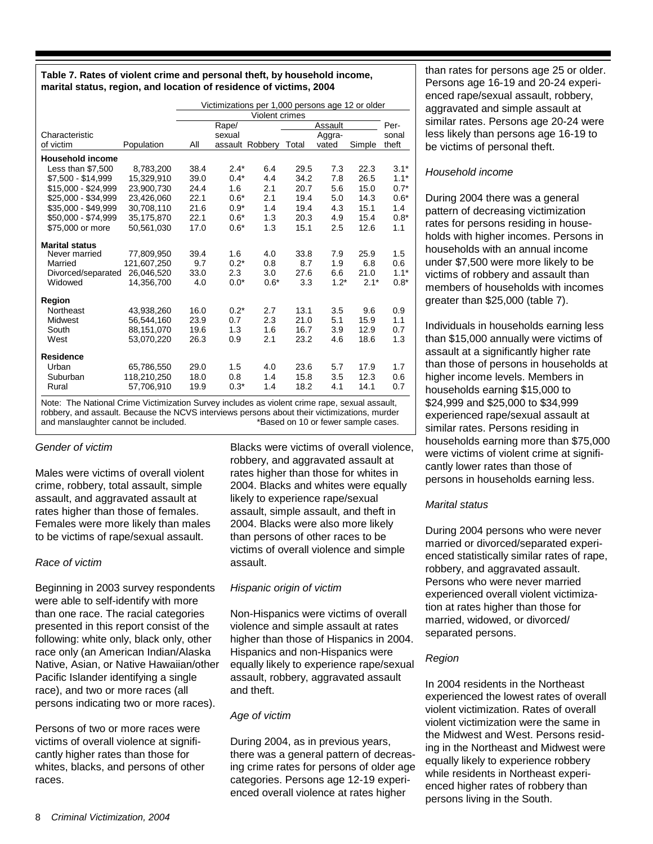# **Table 7. Rates of violent crime and personal theft, by household income, marital status, region, and location of residence of victims, 2004**

|                            |                      | Victimizations per 1,000 persons age 12 or older |        |                       |      |         |        |        |
|----------------------------|----------------------|--------------------------------------------------|--------|-----------------------|------|---------|--------|--------|
|                            |                      |                                                  |        | Violent crimes        |      |         |        |        |
|                            |                      |                                                  | Rape/  |                       |      | Assault |        | Per-   |
| Characteristic             |                      |                                                  | sexual |                       |      | Aggra-  |        | sonal  |
| of victim                  | Population           | All                                              |        | assault Robbery Total |      | vated   | Simple | theft  |
| <b>Household income</b>    |                      |                                                  |        |                       |      |         |        |        |
| Less than \$7,500          | 8,783,200            | 38.4                                             | $2.4*$ | 6.4                   | 29.5 | 7.3     | 22.3   | $3.1*$ |
| \$7.500 - \$14.999         | 15,329,910           | 39.0                                             | $0.4*$ | 4.4                   | 34.2 | 7.8     | 26.5   | $1.1*$ |
| \$15,000 - \$24,999        | 23,900,730           | 24.4                                             | 1.6    | 2.1                   | 20.7 | 5.6     | 15.0   | $0.7*$ |
| \$25,000 - \$34.999        | 23.426.060           | 22.1                                             | $0.6*$ | 2.1                   | 19.4 | 5.0     | 14.3   | $0.6*$ |
| \$35,000 - \$49,999        | 30,708,110           | 21.6                                             | $0.9*$ | 1.4                   | 19.4 | 4.3     | 15.1   | 1.4    |
| \$50,000 - \$74,999        | 35,175,870           | 22.1                                             | $0.6*$ | 1.3                   | 20.3 | 4.9     | 15.4   | $0.8*$ |
| \$75,000 or more           | 50,561,030           | 17.0                                             | $0.6*$ | 1.3                   | 15.1 | 2.5     | 12.6   | 1.1    |
| <b>Marital status</b>      |                      |                                                  |        |                       |      |         |        |        |
| Never married              | 77,809,950           | 39.4                                             | 1.6    | 4.0                   | 33.8 | 7.9     | 25.9   | 1.5    |
| Married                    | 121,607,250          | 9.7                                              | $0.2*$ | 0.8                   | 8.7  | 1.9     | 6.8    | 0.6    |
| Divorced/separated         | 26.046.520           | 33.0                                             | 2.3    | 3.0                   | 27.6 | 6.6     | 21.0   | $1.1*$ |
| Widowed                    | 14,356,700           | 4.0                                              | $0.0*$ | $0.6*$                | 3.3  | $1.2*$  | $2.1*$ | $0.8*$ |
| <b>Region</b>              |                      |                                                  |        |                       |      |         |        |        |
| Northeast                  | 43,938,260           | 16.0                                             | $0.2*$ | 2.7                   | 13.1 | 3.5     | 9.6    | 0.9    |
| <b>Midwest</b>             | 56,544,160           | 23.9                                             | 0.7    | 2.3                   | 21.0 | 5.1     | 15.9   | 1.1    |
| South                      | 88,151,070           | 19.6                                             | 1.3    | 1.6                   | 16.7 | 3.9     | 12.9   | 0.7    |
| West                       | 53,070,220           | 26.3                                             | 0.9    | 2.1                   | 23.2 | 4.6     | 18.6   | 1.3    |
| <b>Residence</b>           |                      |                                                  |        |                       |      |         |        |        |
| Urban                      | 65,786,550           | 29.0                                             | 1.5    | 4.0                   | 23.6 | 5.7     | 17.9   | 1.7    |
| Suburban                   | 118,210,250          | 18.0                                             | 0.8    | 1.4                   | 15.8 | 3.5     | 12.3   | 0.6    |
| Rural                      | 57,706,910           | 19.9                                             | $0.3*$ | 1.4                   | 18.2 | 4.1     | 14.1   | 0.7    |
| ÷.<br>$\sim$ $\sim$ $\sim$ | $\ddot{\phantom{0}}$ |                                                  |        |                       |      |         |        |        |

Note: The National Crime Victimization Survey includes as violent crime rape, sexual assault, robbery, and assault. Because the NCVS interviews persons about their victimizations, murder and manslaughter cannot be included. \*\*\* and manslaughter cannot be included.

# *Gender of victim*

Males were victims of overall violent crime, robbery, total assault, simple assault, and aggravated assault at rates higher than those of females. Females were more likely than males to be victims of rape/sexual assault.

# *Race of victim*

Beginning in 2003 survey respondents were able to self-identify with more than one race. The racial categories presented in this report consist of the following: white only, black only, other race only (an American Indian/Alaska Native, Asian, or Native Hawaiian/other Pacific Islander identifying a single race), and two or more races (all persons indicating two or more races).

Persons of two or more races were victims of overall violence at significantly higher rates than those for whites, blacks, and persons of other races.

Blacks were victims of overall violence, robbery, and aggravated assault at rates higher than those for whites in 2004. Blacks and whites were equally likely to experience rape/sexual assault, simple assault, and theft in 2004. Blacks were also more likely than persons of other races to be victims of overall violence and simple assault.

# *Hispanic origin of victim*

Non-Hispanics were victims of overall violence and simple assault at rates higher than those of Hispanics in 2004. Hispanics and non-Hispanics were equally likely to experience rape/sexual assault, robbery, aggravated assault and theft.

# *Age of victim*

During 2004, as in previous years, there was a general pattern of decreasing crime rates for persons of older age categories. Persons age 12-19 experienced overall violence at rates higher

than rates for persons age 25 or older. Persons age 16-19 and 20-24 experienced rape/sexual assault, robbery, aggravated and simple assault at similar rates. Persons age 20-24 were less likely than persons age 16-19 to be victims of personal theft.

# *Household income*

During 2004 there was a general pattern of decreasing victimization rates for persons residing in households with higher incomes. Persons in households with an annual income under \$7,500 were more likely to be victims of robbery and assault than members of households with incomes greater than \$25,000 (table 7).

Individuals in households earning less than \$15,000 annually were victims of assault at a significantly higher rate than those of persons in households at higher income levels. Members in households earning \$15,000 to \$24,999 and \$25,000 to \$34,999 experienced rape/sexual assault at similar rates. Persons residing in households earning more than \$75,000 were victims of violent crime at significantly lower rates than those of persons in households earning less.

# *Marital status*

During 2004 persons who were never married or divorced/separated experienced statistically similar rates of rape, robbery, and aggravated assault. Persons who were never married experienced overall violent victimization at rates higher than those for married, widowed, or divorced/ separated persons.

# *Region*

In 2004 residents in the Northeast experienced the lowest rates of overall violent victimization. Rates of overall violent victimization were the same in the Midwest and West. Persons residing in the Northeast and Midwest were equally likely to experience robbery while residents in Northeast experienced higher rates of robbery than persons living in the South.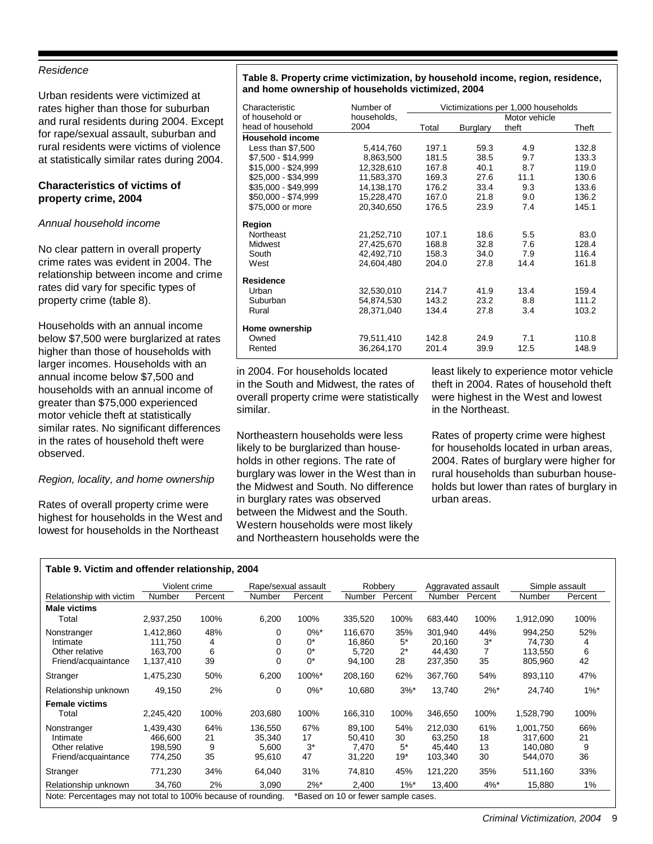# *Residence*

Urban residents were victimized at rates higher than those for suburban and rural residents during 2004. Except for rape/sexual assault, suburban and rural residents were victims of violence at statistically similar rates during 2004.

# **Characteristics of victims of property crime, 2004**

# *Annual household income*

No clear pattern in overall property crime rates was evident in 2004. The relationship between income and crime rates did vary for specific types of property crime (table 8).

Households with an annual income below \$7,500 were burglarized at rates higher than those of households with larger incomes. Households with an annual income below \$7,500 and households with an annual income of greater than \$75,000 experienced motor vehicle theft at statistically similar rates. No significant differences in the rates of household theft were observed.

# *Region, locality, and home ownership*

Rates of overall property crime were highest for households in the West and lowest for households in the Northeast

## **Table 8. Property crime victimization, by household income, region, residence, and home ownership of households victimized, 2004**

| Characteristic          | Number of   |       |          | Victimizations per 1,000 households |       |
|-------------------------|-------------|-------|----------|-------------------------------------|-------|
| of household or         | households, |       |          | Motor vehicle                       |       |
| head of household       | 2004        | Total | Burglary | theft                               | Theft |
| <b>Household income</b> |             |       |          |                                     |       |
| Less than \$7,500       | 5,414,760   | 197.1 | 59.3     | 4.9                                 | 132.8 |
| \$7,500 - \$14,999      | 8,863,500   | 181.5 | 38.5     | 9.7                                 | 133.3 |
| \$15,000 - \$24,999     | 12,328,610  | 167.8 | 40.1     | 8.7                                 | 119.0 |
| \$25,000 - \$34,999     | 11,583,370  | 169.3 | 27.6     | 11.1                                | 130.6 |
| \$35,000 - \$49,999     | 14,138,170  | 176.2 | 33.4     | 9.3                                 | 133.6 |
| \$50,000 - \$74,999     | 15,228,470  | 167.0 | 21.8     | 9.0                                 | 136.2 |
| \$75,000 or more        | 20,340,650  | 176.5 | 23.9     | 7.4                                 | 145.1 |
| Region                  |             |       |          |                                     |       |
| Northeast               | 21,252,710  | 107.1 | 18.6     | 5.5                                 | 83.0  |
| Midwest                 | 27,425,670  | 168.8 | 32.8     | 7.6                                 | 128.4 |
| South                   | 42,492,710  | 158.3 | 34.0     | 7.9                                 | 116.4 |
| West                    | 24,604,480  | 204.0 | 27.8     | 14.4                                | 161.8 |
| Residence               |             |       |          |                                     |       |
| Urban                   | 32,530,010  | 214.7 | 41.9     | 13.4                                | 159.4 |
| Suburban                | 54,874,530  | 143.2 | 23.2     | 8.8                                 | 111.2 |
| Rural                   | 28,371,040  | 134.4 | 27.8     | 3.4                                 | 103.2 |
| Home ownership          |             |       |          |                                     |       |
| Owned                   | 79,511,410  | 142.8 | 24.9     | 7.1                                 | 110.8 |
| Rented                  | 36,264,170  | 201.4 | 39.9     | 12.5                                | 148.9 |

in 2004. For households located in the South and Midwest, the rates of overall property crime were statistically similar.

Northeastern households were less likely to be burglarized than households in other regions. The rate of burglary was lower in the West than in the Midwest and South. No difference in burglary rates was observed between the Midwest and the South. Western households were most likely and Northeastern households were the

least likely to experience motor vehicle theft in 2004. Rates of household theft were highest in the West and lowest in the Northeast.

Rates of property crime were highest for households located in urban areas, 2004. Rates of burglary were higher for rural households than suburban households but lower than rates of burglary in urban areas.

#### **Table 9. Victim and offender relationship, 2004**

|                                                                  |                                              | Violent crime        |                                      | Rape/sexual assault                 |                                      | Robberv                     |                                        | Aggravated assault    | Simple assault                             |                      |
|------------------------------------------------------------------|----------------------------------------------|----------------------|--------------------------------------|-------------------------------------|--------------------------------------|-----------------------------|----------------------------------------|-----------------------|--------------------------------------------|----------------------|
| Relationship with victim                                         | Number                                       | Percent              | Number                               | Percent                             | <b>Number</b>                        | Percent                     | Number                                 | Percent               | Number                                     | Percent              |
| <b>Male victims</b><br>Total                                     | 2,937,250                                    | 100%                 | 6,200                                | 100%                                | 335,520                              | 100%                        | 683,440                                | 100%                  | 1,912,090                                  | 100%                 |
| Nonstranger<br>Intimate<br>Other relative<br>Friend/acquaintance | 1,412,860<br>111.750<br>163.700<br>1,137,410 | 48%<br>4<br>6<br>39  | 0<br>0<br>0<br>$\Omega$              | $0\%$ *<br>$0^*$<br>$0^*$<br>$0^*$  | 116.670<br>16,860<br>5,720<br>94,100 | 35%<br>$5^*$<br>$2^*$<br>28 | 301.940<br>20,160<br>44,430<br>237,350 | 44%<br>$3^*$<br>35    | 994,250<br>74,730<br>113,550<br>805,960    | 52%<br>4<br>6<br>42  |
| Stranger                                                         | 1,475,230                                    | 50%                  | 6,200                                | 100%*                               | 208,160                              | 62%                         | 367,760                                | 54%                   | 893,110                                    | 47%                  |
| Relationship unknown                                             | 49,150                                       | 2%                   | $\Omega$                             | $0\%$ *                             | 10,680                               | $3%^*$                      | 13,740                                 | $2\%$ *               | 24,740                                     | $1\%$ *              |
| <b>Female victims</b><br>Total                                   | 2,245,420                                    | 100%                 | 203,680                              | 100%                                | 166,310                              | 100%                        | 346,650                                | 100%                  | 1,528,790                                  | 100%                 |
| Nonstranger<br>Intimate<br>Other relative<br>Friend/acquaintance | 1,439,430<br>466.600<br>198.590<br>774,250   | 64%<br>21<br>9<br>35 | 136,550<br>35,340<br>5,600<br>95,610 | 67%<br>17<br>$3^*$<br>47            | 89.100<br>50,410<br>7.470<br>31,220  | 54%<br>30<br>$5^*$<br>19*   | 212,030<br>63,250<br>45.440<br>103,340 | 61%<br>18<br>13<br>30 | 1,001,750<br>317,600<br>140.080<br>544,070 | 66%<br>21<br>9<br>36 |
| Stranger                                                         | 771,230                                      | 34%                  | 64,040                               | 31%                                 | 74,810                               | 45%                         | 121,220                                | 35%                   | 511,160                                    | 33%                  |
| Relationship unknown                                             | 34.760                                       | 2%                   | 3,090                                | $2\%$ *                             | 2,400                                | $1\%$ *                     | 13,400                                 | $4%$ *                | 15,880                                     | 1%                   |
| Note: Percentages may not total to 100% because of rounding.     |                                              |                      |                                      | *Based on 10 or fewer sample cases. |                                      |                             |                                        |                       |                                            |                      |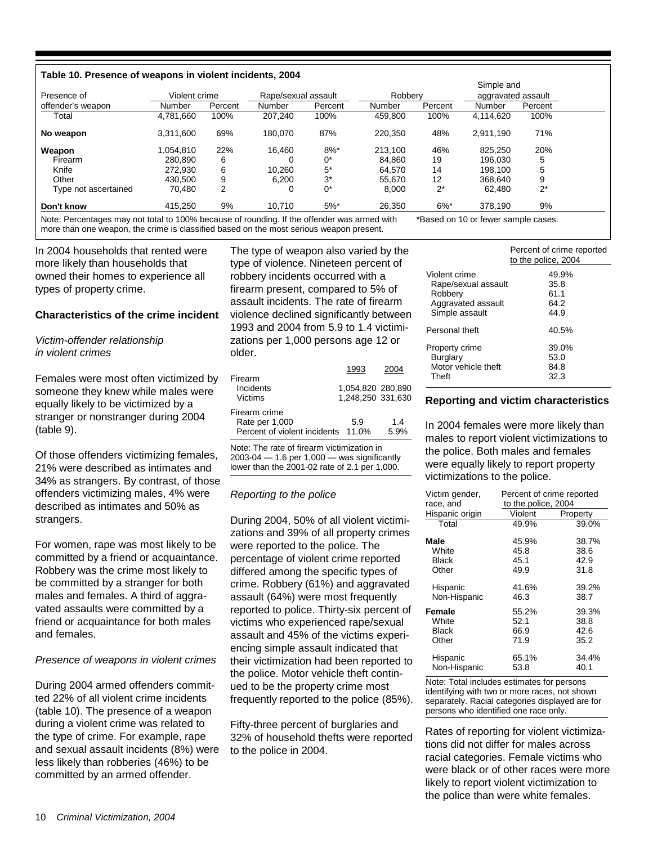#### **Table 10. Presence of weapons in violent incidents, 2004**

|                      |               |         |                     |         | Simple and |         |                    |         |  |
|----------------------|---------------|---------|---------------------|---------|------------|---------|--------------------|---------|--|
| Presence of          | Violent crime |         | Rape/sexual assault |         | Robbery    |         | aggravated assault |         |  |
| offender's weapon    | Number        | Percent | Number              | Percent | Number     | Percent | Number             | Percent |  |
| Total                | 4,781,660     | 100%    | 207.240             | 100%    | 459,800    | 100%    | 4,114,620          | 100%    |  |
| No weapon            | 3,311,600     | 69%     | 180.070             | 87%     | 220,350    | 48%     | 2,911,190          | 71%     |  |
| Weapon               | 1.054.810     | 22%     | 16.460              | $8\%$ * | 213.100    | 46%     | 825.250            | 20%     |  |
| Firearm              | 280.890       | 6       |                     | 0*      | 84.860     | 19      | 196.030            | 5       |  |
| Knife                | 272.930       | 6       | 10,260              | $5*$    | 64,570     | 14      | 198,100            | 5       |  |
| Other                | 430.500       | 9       | 6.200               | $3^*$   | 55.670     | 12      | 368.640            | 9       |  |
| Type not ascertained | 70,480        | 2       | 0                   | 0*      | 8,000      | $2^*$   | 62,480             | $2^*$   |  |
| Don't know           | 415.250       | 9%      | 10.710              | $5%$ *  | 26,350     | $6\%$ * | 378.190            | 9%      |  |

Note: Percentages may not total to 100% because of rounding. If the offender was armed with \*Based on 10 or fewer sample cases. more than one weapon, the crime is classified based on the most serious weapon present.

In 2004 households that rented were more likely than households that owned their homes to experience all types of property crime.

## **Characteristics of the crime incident**

# *Victim-offender relationship in violent crimes*

Females were most often victimized by someone they knew while males were equally likely to be victimized by a stranger or nonstranger during 2004 (table 9).

Of those offenders victimizing females, 21% were described as intimates and 34% as strangers. By contrast, of those offenders victimizing males, 4% were described as intimates and 50% as strangers.

For women, rape was most likely to be committed by a friend or acquaintance. Robbery was the crime most likely to be committed by a stranger for both males and females. A third of aggravated assaults were committed by a friend or acquaintance for both males and females.

#### *Presence of weapons in violent crimes*

During 2004 armed offenders committed 22% of all violent crime incidents (table 10). The presence of a weapon during a violent crime was related to the type of crime. For example, rape and sexual assault incidents (8%) were less likely than robberies (46%) to be committed by an armed offender.

The type of weapon also varied by the type of violence. Nineteen percent of robbery incidents occurred with a firearm present, compared to 5% of assault incidents. The rate of firearm violence declined significantly between 1993 and 2004 from 5.9 to 1.4 victimizations per 1,000 persons age 12 or older.

|                                    | 1993              | 2004 |
|------------------------------------|-------------------|------|
| Firearm                            |                   |      |
| Incidents                          | 1,054,820 280,890 |      |
| Victims                            | 1,248,250 331,630 |      |
| Firearm crime                      |                   |      |
| Rate per 1,000                     | 5.9               | 14   |
| Percent of violent incidents 11.0% |                   | 5.9% |
|                                    |                   |      |

Note: The rate of firearm victimization in 2003-04 — 1.6 per 1,000 — was significantly lower than the 2001-02 rate of 2.1 per 1,000.

#### *Reporting to the police*

During 2004, 50% of all violent victimizations and 39% of all property crimes were reported to the police. The percentage of violent crime reported differed among the specific types of crime. Robbery (61%) and aggravated assault (64%) were most frequently reported to police. Thirty-six percent of victims who experienced rape/sexual assault and 45% of the victims experiencing simple assault indicated that their victimization had been reported to the police. Motor vehicle theft continued to be the property crime most frequently reported to the police (85%).

Fifty-three percent of burglaries and 32% of household thefts were reported to the police in 2004.

|                     | Percent of crime reported<br>to the police, 2004 |
|---------------------|--------------------------------------------------|
| Violent crime       | 49.9%                                            |
| Rape/sexual assault | 35.8                                             |
| Robbery             | 61.1                                             |
| Aggravated assault  | 64.2                                             |
| Simple assault      | 44.9                                             |
| Personal theft      | 40.5%                                            |
| Property crime      | 39.0%                                            |
| Burglary            | 53.0                                             |
| Motor vehicle theft | 84.8                                             |
| Theft               | 32.3                                             |

#### **Reporting and victim characteristics**

In 2004 females were more likely than males to report violent victimizations to the police. Both males and females were equally likely to report property victimizations to the police.

| Victim gender,<br>race, and | Percent of crime reported<br>to the police, 2004 |          |  |  |  |
|-----------------------------|--------------------------------------------------|----------|--|--|--|
| Hispanic origin             | Violent                                          | Property |  |  |  |
| Total                       | 49.9%                                            | 39.0%    |  |  |  |
| Male                        | 45.9%                                            | 38.7%    |  |  |  |
| White                       | 45.8                                             | 38.6     |  |  |  |
| Black                       | 45.1                                             | 42.9     |  |  |  |
| Other                       | 49.9                                             | 31.8     |  |  |  |
| Hispanic                    | 41.6%                                            | 39.2%    |  |  |  |
| Non-Hispanic                | 46.3                                             | 38.7     |  |  |  |
| Female                      | 55.2%                                            | 39.3%    |  |  |  |
| White                       | 52.1                                             | 38.8     |  |  |  |
| Black                       | 66.9                                             | 42.6     |  |  |  |
| Other                       | 71.9                                             | 35.2     |  |  |  |
| Hispanic                    | 65.1%                                            | 34.4%    |  |  |  |
| Non-Hispanic                | 53.8                                             | 40.1     |  |  |  |

Note: Total includes estimates for persons identifying with two or more races, not shown separately. Racial categories displayed are for persons who identified one race only.

Rates of reporting for violent victimizations did not differ for males across racial categories. Female victims who were black or of other races were more likely to report violent victimization to the police than were white females.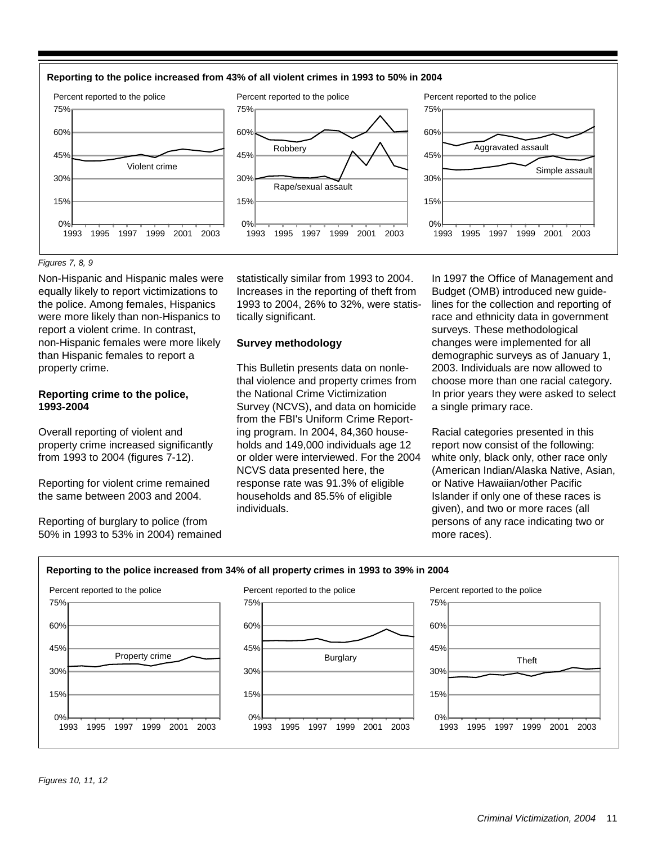



#### *Figures 7, 8, 9*

Non-Hispanic and Hispanic males were equally likely to report victimizations to the police. Among females, Hispanics were more likely than non-Hispanics to report a violent crime. In contrast, non-Hispanic females were more likely than Hispanic females to report a property crime.

## **Reporting crime to the police, 1993-2004**

Overall reporting of violent and property crime increased significantly from 1993 to 2004 (figures 7-12).

Reporting for violent crime remained the same between 2003 and 2004.

Reporting of burglary to police (from 50% in 1993 to 53% in 2004) remained statistically similar from 1993 to 2004. Increases in the reporting of theft from 1993 to 2004, 26% to 32%, were statistically significant.

#### **Survey methodology**

This Bulletin presents data on nonlethal violence and property crimes from the National Crime Victimization Survey (NCVS), and data on homicide from the FBI's Uniform Crime Reporting program. In 2004, 84,360 households and 149,000 individuals age 12 or older were interviewed. For the 2004 NCVS data presented here, the response rate was 91.3% of eligible households and 85.5% of eligible individuals.

In 1997 the Office of Management and Budget (OMB) introduced new guidelines for the collection and reporting of race and ethnicity data in government surveys. These methodological changes were implemented for all demographic surveys as of January 1, 2003. Individuals are now allowed to choose more than one racial category. In prior years they were asked to select a single primary race.

Racial categories presented in this report now consist of the following: white only, black only, other race only (American Indian/Alaska Native, Asian, or Native Hawaiian/other Pacific Islander if only one of these races is given), and two or more races (all persons of any race indicating two or more races).

#### **Reporting to the police increased from 34% of all property crimes in 1993 to 39% in 2004**